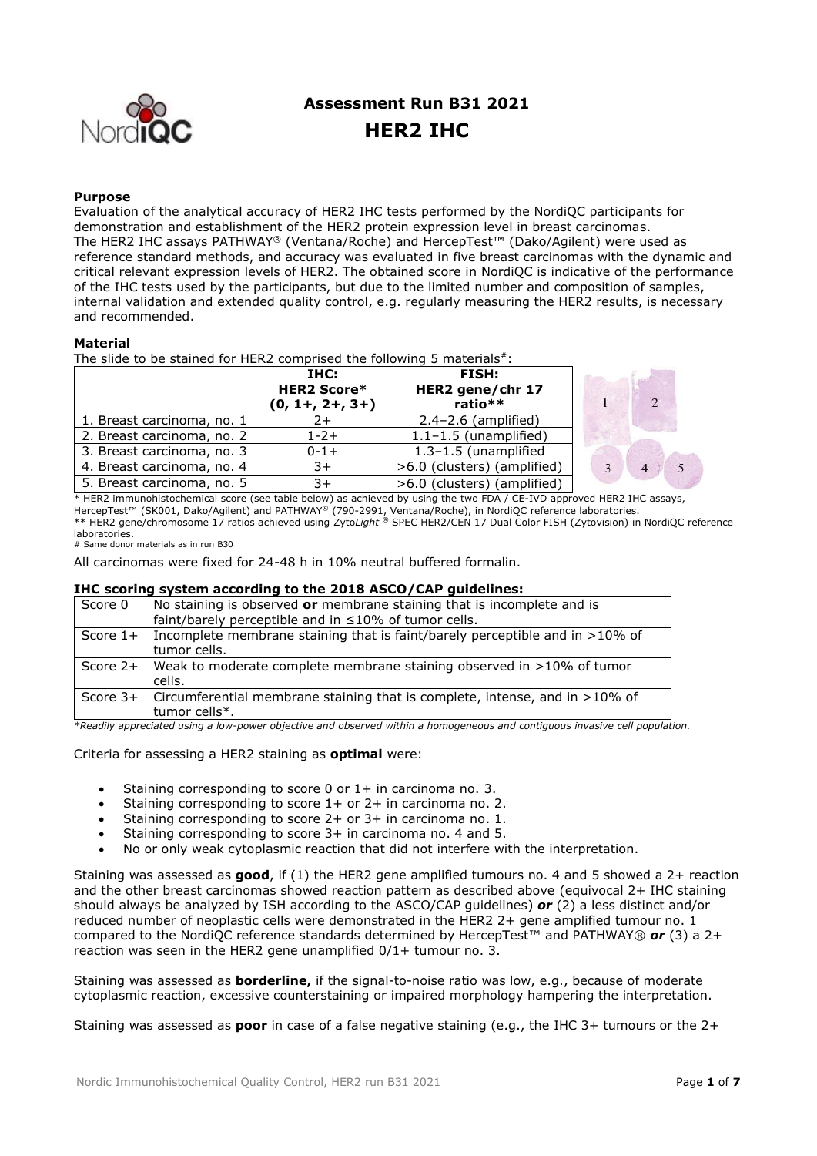

# **Assessment Run B31 2021 HER2 IHC**

#### **Purpose**

Evaluation of the analytical accuracy of HER2 IHC tests performed by the NordiQC participants for demonstration and establishment of the HER2 protein expression level in breast carcinomas. The HER2 IHC assays PATHWAY® (Ventana/Roche) and HercepTest™ (Dako/Agilent) were used as reference standard methods, and accuracy was evaluated in five breast carcinomas with the dynamic and critical relevant expression levels of HER2. The obtained score in NordiQC is indicative of the performance of the IHC tests used by the participants, but due to the limited number and composition of samples, internal validation and extended quality control, e.g. regularly measuring the HER2 results, is necessary and recommended.

#### **Material**

The slide to be stained for HER2 comprised the following 5 materials $*$ :

|                            | THC:<br><b>HER2 Score*</b><br>$(0, 1+, 2+, 3+)$ | FISH:<br>HER2 gene/chr 17<br>ratio** |
|----------------------------|-------------------------------------------------|--------------------------------------|
| 1. Breast carcinoma, no. 1 | 2+                                              | $2.4 - 2.6$ (amplified)              |
| 2. Breast carcinoma, no. 2 | $1 - 2 +$                                       | $1.1 - 1.5$ (unamplified)            |
| 3. Breast carcinoma, no. 3 | $0 - 1 +$                                       | 1.3-1.5 (unamplified                 |
| 4. Breast carcinoma, no. 4 | $3+$                                            | >6.0 (clusters) (amplified)          |
| 5. Breast carcinoma, no. 5 | $3+$                                            | >6.0 (clusters) (amplified)          |



\* HER2 immunohistochemical score (see table below) as achieved by using the two FDA / CE-IVD approved HER2 IHC assays, HercepTest™ (SK001, Dako/Agilent) and PATHWAY® (790-2991, Ventana/Roche), in NordiQC reference laboratories. \*\* HER2 gene/chromosome 17 ratios achieved using Zyto*Light ®* SPEC HER2/CEN 17 Dual Color FISH (Zytovision) in NordiQC reference laboratories.

# Same donor materials as in run B30

All carcinomas were fixed for 24-48 h in 10% neutral buffered formalin.

### **IHC scoring system according to the 2018 ASCO/CAP guidelines:**

| Score 0 | No staining is observed or membrane staining that is incomplete and is<br>faint/barely perceptible and in ≤10% of tumor cells. |
|---------|--------------------------------------------------------------------------------------------------------------------------------|
|         | Score $1+$ Incomplete membrane staining that is faint/barely perceptible and in >10% of<br>tumor cells.                        |
|         | Score 2+   Weak to moderate complete membrane staining observed in $>10\%$ of tumor<br>cells.                                  |
|         | Score $3+$ Circumferential membrane staining that is complete, intense, and in >10% of<br>tumor cells*.                        |

*\*Readily appreciated using a low-power objective and observed within a homogeneous and contiguous invasive cell population.*

Criteria for assessing a HER2 staining as **optimal** were:

- Staining corresponding to score 0 or 1+ in carcinoma no. 3.
- Staining corresponding to score 1+ or 2+ in carcinoma no. 2.
- Staining corresponding to score 2+ or 3+ in carcinoma no. 1.
- Staining corresponding to score 3+ in carcinoma no. 4 and 5.
- No or only weak cytoplasmic reaction that did not interfere with the interpretation.

Staining was assessed as **good**, if (1) the HER2 gene amplified tumours no. 4 and 5 showed a 2+ reaction and the other breast carcinomas showed reaction pattern as described above (equivocal 2+ IHC staining should always be analyzed by ISH according to the ASCO/CAP guidelines) *or* (2) a less distinct and/or reduced number of neoplastic cells were demonstrated in the HER2 2+ gene amplified tumour no. 1 compared to the NordiQC reference standards determined by HercepTest™ and PATHWAY® *or* (3) a 2+ reaction was seen in the HER2 gene unamplified 0/1+ tumour no. 3.

Staining was assessed as **borderline,** if the signal-to-noise ratio was low, e.g., because of moderate cytoplasmic reaction, excessive counterstaining or impaired morphology hampering the interpretation.

Staining was assessed as **poor** in case of a false negative staining (e.g., the IHC 3+ tumours or the 2+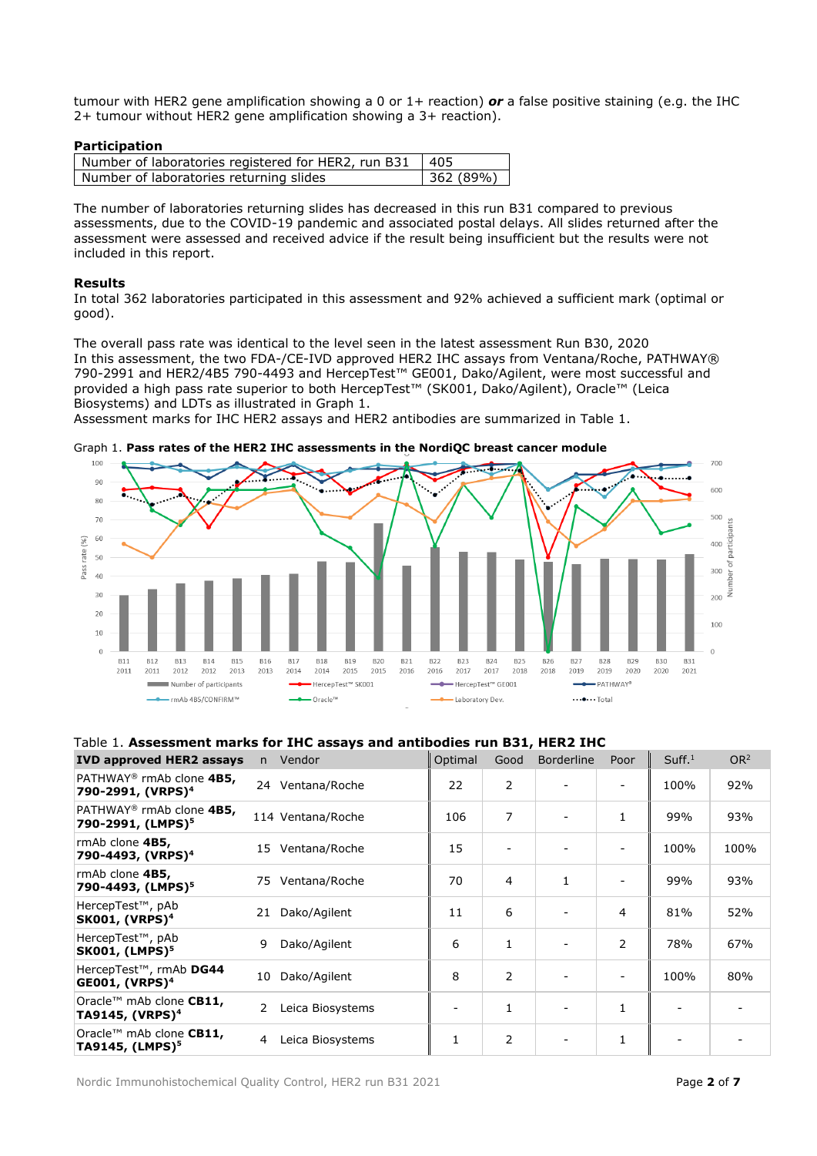tumour with HER2 gene amplification showing a 0 or 1+ reaction) *or* a false positive staining (e.g. the IHC 2+ tumour without HER2 gene amplification showing a 3+ reaction).

#### **Participation**

| Number of laboratories registered for HER2, run B31   405 |          |
|-----------------------------------------------------------|----------|
| Number of laboratories returning slides                   | 362(89%) |

The number of laboratories returning slides has decreased in this run B31 compared to previous assessments, due to the COVID-19 pandemic and associated postal delays. All slides returned after the assessment were assessed and received advice if the result being insufficient but the results were not included in this report.

#### **Results**

In total 362 laboratories participated in this assessment and 92% achieved a sufficient mark (optimal or good).

The overall pass rate was identical to the level seen in the latest assessment Run B30, 2020 In this assessment, the two FDA-/CE-IVD approved HER2 IHC assays from Ventana/Roche, PATHWAY® 790-2991 and HER2/4B5 790-4493 and HercepTest™ GE001, Dako/Agilent, were most successful and provided a high pass rate superior to both HercepTest<sup>™</sup> (SK001, Dako/Agilent), Oracle™ (Leica Biosystems) and LDTs as illustrated in Graph 1.

Assessment marks for IHC HER2 assays and HER2 antibodies are summarized in Table 1.



#### Graph 1. **Pass rates of the HER2 IHC assessments in the NordiQC breast cancer module**

#### Table 1. **Assessment marks for IHC assays and antibodies run B31, HER2 IHC**

| <b>IVD approved HER2 assays</b>                                       | n  | Vendor            | Optimal | Good           | <b>Borderline</b>        | Poor                     | Suff. <sup>1</sup> | OR <sup>2</sup> |
|-----------------------------------------------------------------------|----|-------------------|---------|----------------|--------------------------|--------------------------|--------------------|-----------------|
| PATHWAY <sup>®</sup> rmAb clone 4B5,<br>790-2991, (VRPS) <sup>4</sup> | 24 | Ventana/Roche     | 22      | $\overline{2}$ |                          |                          | 100%               | 92%             |
| PATHWAY <sup>®</sup> rmAb clone 4B5,<br>790-2991, (LMPS) <sup>5</sup> |    | 114 Ventana/Roche | 106     | 7              |                          | 1                        | 99%                | 93%             |
| rmAb clone 4B5,<br>790-4493, (VRPS) <sup>4</sup>                      | 15 | Ventana/Roche     | 15      |                |                          |                          | 100%               | 100%            |
| rmAb clone 4B5,<br>790-4493, (LMPS) <sup>5</sup>                      | 75 | Ventana/Roche     | 70      | 4              | 1                        | $\overline{\phantom{a}}$ | 99%                | 93%             |
| HercepTest <sup>™</sup> , pAb<br><b>SK001, (VRPS)<sup>4</sup></b>     | 21 | Dako/Agilent      | 11      | 6              |                          | 4                        | 81%                | 52%             |
| HercepTest <sup>™</sup> , pAb<br><b>SK001, (LMPS)<sup>5</sup></b>     | 9  | Dako/Agilent      | 6       | 1              | $\overline{\phantom{a}}$ | 2                        | 78%                | 67%             |
| HercepTest™, rmAb DG44<br>$GE001, (VRPS)^4$                           | 10 | Dako/Agilent      | 8       | 2              |                          |                          | 100%               | 80%             |
| Oracle™ mAb clone CB11,<br>TA9145, (VRPS) <sup>4</sup>                | 2  | Leica Biosystems  |         | 1              |                          | 1                        |                    |                 |
| Oracle™ mAb clone CB11,<br>TA9145, (LMPS) <sup>5</sup>                | 4  | Leica Biosystems  | 1       | 2              |                          | 1                        |                    |                 |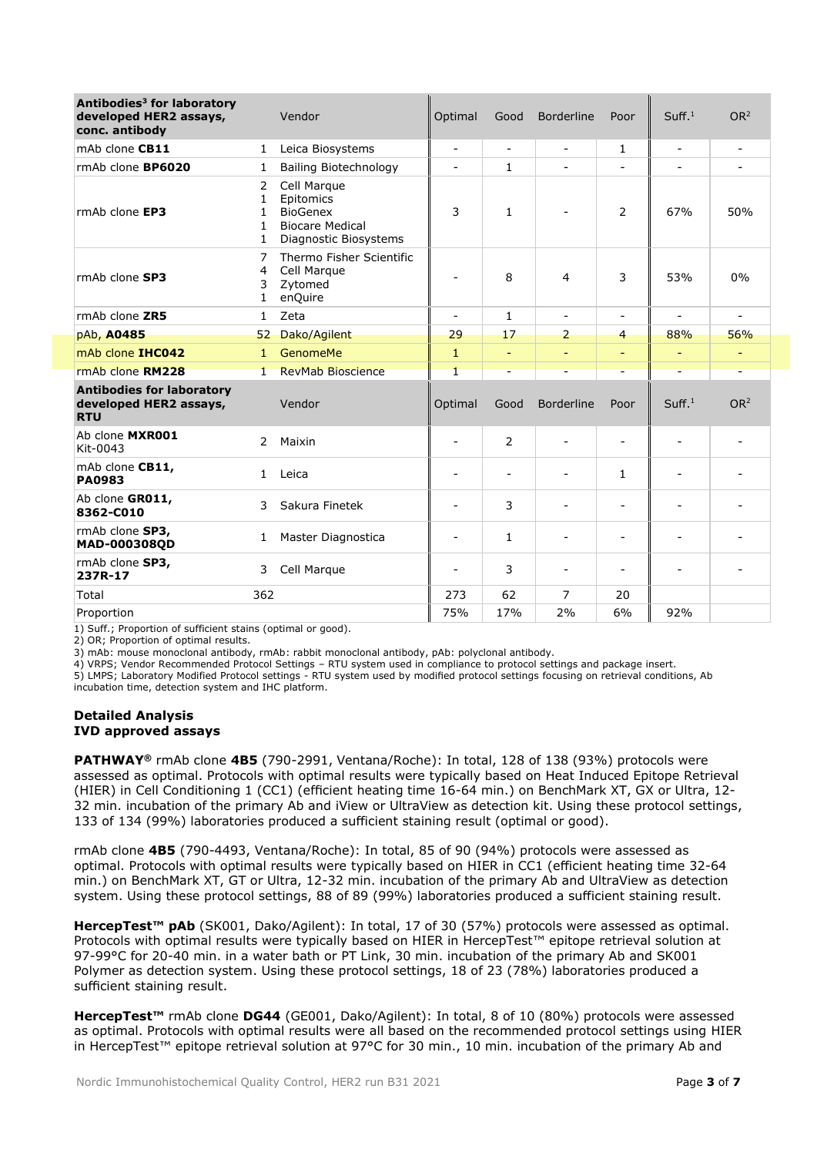| Antibodies <sup>3</sup> for laboratory<br>developed HER2 assays,<br>conc. antibody | Vendor                      |                                                                                                | Optimal                  | Good                     | <b>Borderline</b>        | Poor                         | Suff. <sup>1</sup>       | OR <sup>2</sup>          |
|------------------------------------------------------------------------------------|-----------------------------|------------------------------------------------------------------------------------------------|--------------------------|--------------------------|--------------------------|------------------------------|--------------------------|--------------------------|
| mAb clone CB11                                                                     | $\mathbf{1}$                | Leica Biosystems                                                                               | $\overline{a}$           | $\overline{\phantom{a}}$ | $\blacksquare$           | $\mathbf{1}$                 | $\overline{a}$           | $\overline{\phantom{a}}$ |
| rmAb clone <b>BP6020</b>                                                           | 1                           | <b>Bailing Biotechnology</b>                                                                   | $\overline{\phantom{m}}$ | 1                        | $\overline{\phantom{a}}$ |                              | $\overline{\phantom{a}}$ | $\overline{\phantom{a}}$ |
| rmAb clone EP3                                                                     | 2<br>1<br>1<br>1.<br>1      | Cell Marque<br>Epitomics<br><b>BioGenex</b><br><b>Biocare Medical</b><br>Diagnostic Biosystems | 3                        | $\mathbf{1}$             |                          | $\overline{2}$               | 67%                      | 50%                      |
| rmAb clone SP3                                                                     | 7<br>4<br>3<br>$\mathbf{1}$ | Thermo Fisher Scientific<br>Cell Marque<br>Zytomed<br>enQuire                                  | ۰                        | 8                        | 4                        | 3                            | 53%                      | 0%                       |
| rmAb clone ZR5                                                                     | $\mathbf{1}$                | Zeta                                                                                           | $\overline{a}$           | 1                        | $\blacksquare$           | $\sim$                       | $\blacksquare$           | $\sim$                   |
| pAb, A0485                                                                         | 52                          | Dako/Agilent                                                                                   | 29                       | 17                       | 2                        | 4                            | 88%                      | 56%                      |
| mAb clone IHC042                                                                   | $\mathbf{1}$                | <b>GenomeMe</b>                                                                                | $\mathbf{1}$             | $\equiv$                 | $\equiv$                 | ۰                            | $\equiv$                 | $\overline{\phantom{a}}$ |
| rmAb clone RM228                                                                   | $\mathbf{1}$                | <b>RevMab Bioscience</b>                                                                       | $\mathbf{1}$             | ٠                        |                          |                              |                          |                          |
| <b>Antibodies for laboratory</b><br>developed HER2 assays,<br><b>RTU</b>           | Vendor                      |                                                                                                | Optimal                  | Good                     | <b>Borderline</b>        | Poor                         | Suff <sup>1</sup>        | OR <sup>2</sup>          |
| Ab clone MXR001<br>Kit-0043                                                        | 2                           | Maixin                                                                                         | ۰                        | 2                        | $\overline{\phantom{0}}$ | $\overline{\phantom{0}}$     | $\overline{\phantom{0}}$ |                          |
| mAb clone CB11,<br><b>PA0983</b>                                                   | $\mathbf{1}$                | Leica                                                                                          | $\overline{a}$           | $\overline{\phantom{a}}$ |                          | $\mathbf{1}$                 |                          |                          |
| Ab clone GR011,<br>8362-C010                                                       | 3                           | Sakura Finetek                                                                                 | $\overline{a}$           | 3                        | $\overline{\phantom{a}}$ | $\qquad \qquad \blacksquare$ | $\overline{a}$           | $\overline{a}$           |
| rmAb clone SP3,<br>MAD-000308QD                                                    | 1                           | Master Diagnostica                                                                             | $\overline{\phantom{0}}$ | $\mathbf{1}$             | $\blacksquare$           | ۰                            | $\overline{\phantom{0}}$ | $\overline{\phantom{0}}$ |
| rmAb clone SP3,<br>237R-17                                                         | 3                           | Cell Marque                                                                                    | $\overline{a}$           | 3                        | $\overline{\phantom{a}}$ | $\overline{a}$               | $\overline{\phantom{a}}$ | $\overline{\phantom{0}}$ |
| Total                                                                              | 362                         |                                                                                                | 273                      | 62                       | $\overline{7}$           | 20                           |                          |                          |
| Proportion                                                                         |                             |                                                                                                | 75%                      | 17%                      | 2%                       | 6%                           | 92%                      |                          |

1) Suff.; Proportion of sufficient stains (optimal or good).

2) OR; Proportion of optimal results.

3) mAb: mouse monoclonal antibody, rmAb: rabbit monoclonal antibody, pAb: polyclonal antibody.

4) VRPS; Vendor Recommended Protocol Settings – RTU system used in compliance to protocol settings and package insert.

5) LMPS; Laboratory Modified Protocol settings - RTU system used by modified protocol settings focusing on retrieval conditions, Ab incubation time, detection system and IHC platform.

#### **Detailed Analysis IVD approved assays**

**PATHWAY®** rmAb clone **4B5** (790-2991, Ventana/Roche): In total, 128 of 138 (93%) protocols were assessed as optimal. Protocols with optimal results were typically based on Heat Induced Epitope Retrieval (HIER) in Cell Conditioning 1 (CC1) (efficient heating time 16-64 min.) on BenchMark XT, GX or Ultra, 12- 32 min. incubation of the primary Ab and iView or UltraView as detection kit. Using these protocol settings, 133 of 134 (99%) laboratories produced a sufficient staining result (optimal or good).

rmAb clone **4B5** (790-4493, Ventana/Roche): In total, 85 of 90 (94%) protocols were assessed as optimal. Protocols with optimal results were typically based on HIER in CC1 (efficient heating time 32-64 min.) on BenchMark XT, GT or Ultra, 12-32 min. incubation of the primary Ab and UltraView as detection system. Using these protocol settings, 88 of 89 (99%) laboratories produced a sufficient staining result.

**HercepTest™ pAb** (SK001, Dako/Agilent): In total, 17 of 30 (57%) protocols were assessed as optimal. Protocols with optimal results were typically based on HIER in HercepTest™ epitope retrieval solution at 97-99°C for 20-40 min. in a water bath or PT Link, 30 min. incubation of the primary Ab and SK001 Polymer as detection system. Using these protocol settings, 18 of 23 (78%) laboratories produced a sufficient staining result.

**HercepTest™** rmAb clone **DG44** (GE001, Dako/Agilent): In total, 8 of 10 (80%) protocols were assessed as optimal. Protocols with optimal results were all based on the recommended protocol settings using HIER in HercepTest™ epitope retrieval solution at 97°C for 30 min., 10 min. incubation of the primary Ab and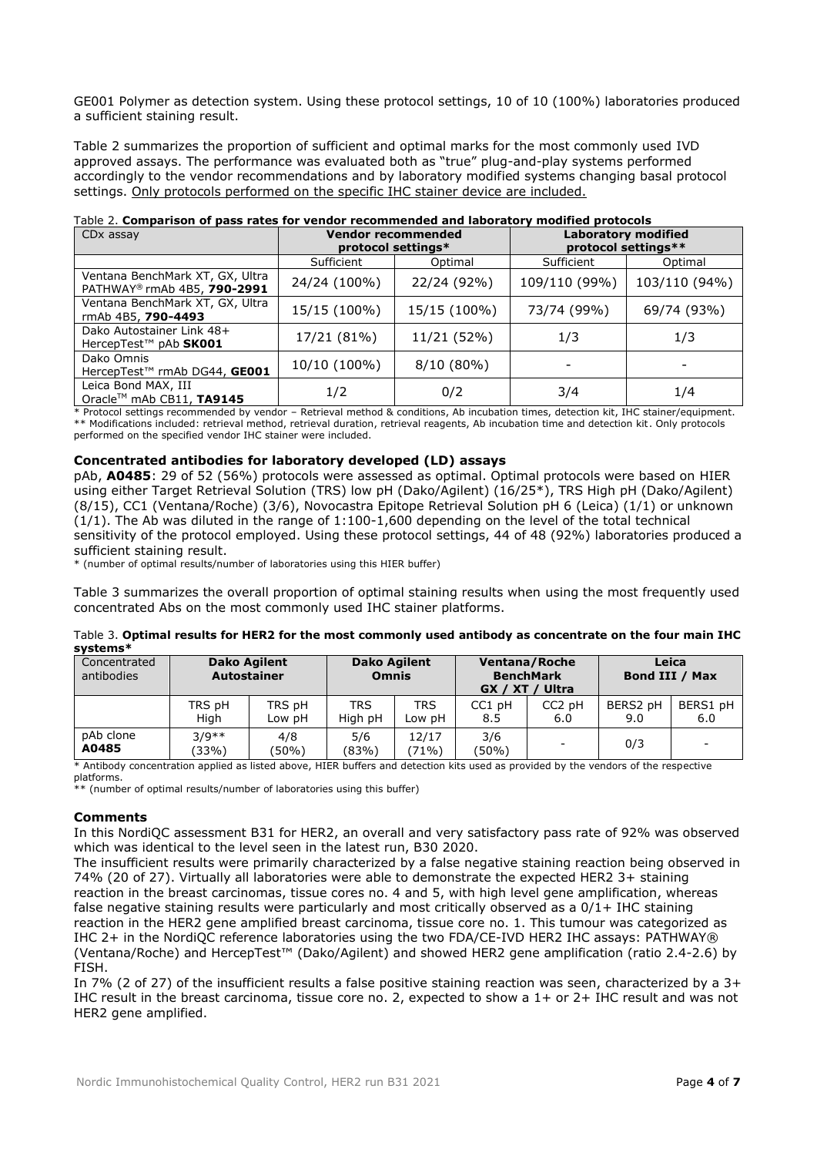GE001 Polymer as detection system. Using these protocol settings, 10 of 10 (100%) laboratories produced a sufficient staining result.

Table 2 summarizes the proportion of sufficient and optimal marks for the most commonly used IVD approved assays. The performance was evaluated both as "true" plug-and-play systems performed accordingly to the vendor recommendations and by laboratory modified systems changing basal protocol settings. Only protocols performed on the specific IHC stainer device are included.

| CDx assay                                                      |                             | <b>Vendor recommended</b><br>protocol settings* | <b>Laboratory modified</b><br>protocol settings** |               |  |
|----------------------------------------------------------------|-----------------------------|-------------------------------------------------|---------------------------------------------------|---------------|--|
|                                                                | Sufficient<br>Optimal       |                                                 | Sufficient                                        | Optimal       |  |
| Ventana BenchMark XT, GX, Ultra<br>PATHWAY® rmAb 4B5, 790-2991 | 22/24 (92%)<br>24/24 (100%) |                                                 | 109/110 (99%)                                     | 103/110 (94%) |  |
| Ventana BenchMark XT, GX, Ultra<br>rmAb 4B5, 790-4493          | 15/15 (100%)                | 15/15 (100%)                                    | 73/74 (99%)                                       | 69/74 (93%)   |  |
| Dako Autostainer Link 48+<br>HercepTest™ pAb SK001             | 17/21 (81%)                 | 11/21 (52%)                                     | 1/3                                               | 1/3           |  |
| Dako Omnis<br>HercepTest™ rmAb DG44, GE001                     | 10/10 (100%)                | $8/10(80\%)$                                    |                                                   |               |  |
| Leica Bond MAX, III<br>Oracle™ mAb CB11, TA9145                | 1/2                         | 0/2                                             | 3/4                                               | 1/4           |  |

## Table 2. **Comparison of pass rates for vendor recommended and laboratory modified protocols**

\* Protocol settings recommended by vendor – Retrieval method & conditions, Ab incubation times, detection kit, IHC stainer/equipment. \*\* Modifications included: retrieval method, retrieval duration, retrieval reagents, Ab incubation time and detection kit. Only protocols performed on the specified vendor IHC stainer were included.

#### **Concentrated antibodies for laboratory developed (LD) assays**

pAb, **A0485**: 29 of 52 (56%) protocols were assessed as optimal. Optimal protocols were based on HIER using either Target Retrieval Solution (TRS) low pH (Dako/Agilent) (16/25\*), TRS High pH (Dako/Agilent) (8/15), CC1 (Ventana/Roche) (3/6), Novocastra Epitope Retrieval Solution pH 6 (Leica) (1/1) or unknown  $(1/1)$ . The Ab was diluted in the range of  $1:100-1.600$  depending on the level of the total technical sensitivity of the protocol employed. Using these protocol settings, 44 of 48 (92%) laboratories produced a sufficient staining result.

\* (number of optimal results/number of laboratories using this HIER buffer)

Table 3 summarizes the overall proportion of optimal staining results when using the most frequently used concentrated Abs on the most commonly used IHC stainer platforms.

| systems*                   |                                           |                  |                                     |                      |               |                                            |                         |                 |  |
|----------------------------|-------------------------------------------|------------------|-------------------------------------|----------------------|---------------|--------------------------------------------|-------------------------|-----------------|--|
| Concentrated<br>antibodies | <b>Dako Agilent</b><br><b>Autostainer</b> |                  | <b>Dako Agilent</b><br><b>Omnis</b> |                      | GX / XT       | Ventana/Roche<br><b>BenchMark</b><br>Ultra | Leica<br>Bond III / Max |                 |  |
|                            | TRS pH<br>Hiah                            | TRS pH<br>Low pH | <b>TRS</b><br>High pH               | <b>TRS</b><br>Low pH | CC1 pH<br>8.5 | CC <sub>2</sub> pH<br>6.0                  | BERS2 pH<br>9.0         | BERS1 pH<br>6.0 |  |
| pAb clone<br>A0485         | $3/9**$<br>(33%)                          | 4/8<br>(50%)     | 5/6<br>(83%)                        | 12/17<br>(71%)       | 3/6<br>(50%)  |                                            | 0/3                     |                 |  |

#### Table 3. **Optimal results for HER2 for the most commonly used antibody as concentrate on the four main IHC systems\***

\* Antibody concentration applied as listed above, HIER buffers and detection kits used as provided by the vendors of the respective

platforms.

\*\* (number of optimal results/number of laboratories using this buffer)

#### **Comments**

In this NordiQC assessment B31 for HER2, an overall and very satisfactory pass rate of 92% was observed which was identical to the level seen in the latest run, B30 2020.

The insufficient results were primarily characterized by a false negative staining reaction being observed in 74% (20 of 27). Virtually all laboratories were able to demonstrate the expected HER2 3+ staining reaction in the breast carcinomas, tissue cores no. 4 and 5, with high level gene amplification, whereas false negative staining results were particularly and most critically observed as a  $0/1+$  IHC staining reaction in the HER2 gene amplified breast carcinoma, tissue core no. 1. This tumour was categorized as IHC 2+ in the NordiQC reference laboratories using the two FDA/CE-IVD HER2 IHC assays: PATHWAY® (Ventana/Roche) and HercepTest™ (Dako/Agilent) and showed HER2 gene amplification (ratio 2.4-2.6) by FISH.

In 7% (2 of 27) of the insufficient results a false positive staining reaction was seen, characterized by a 3+ IHC result in the breast carcinoma, tissue core no. 2, expected to show a 1+ or 2+ IHC result and was not HER2 gene amplified.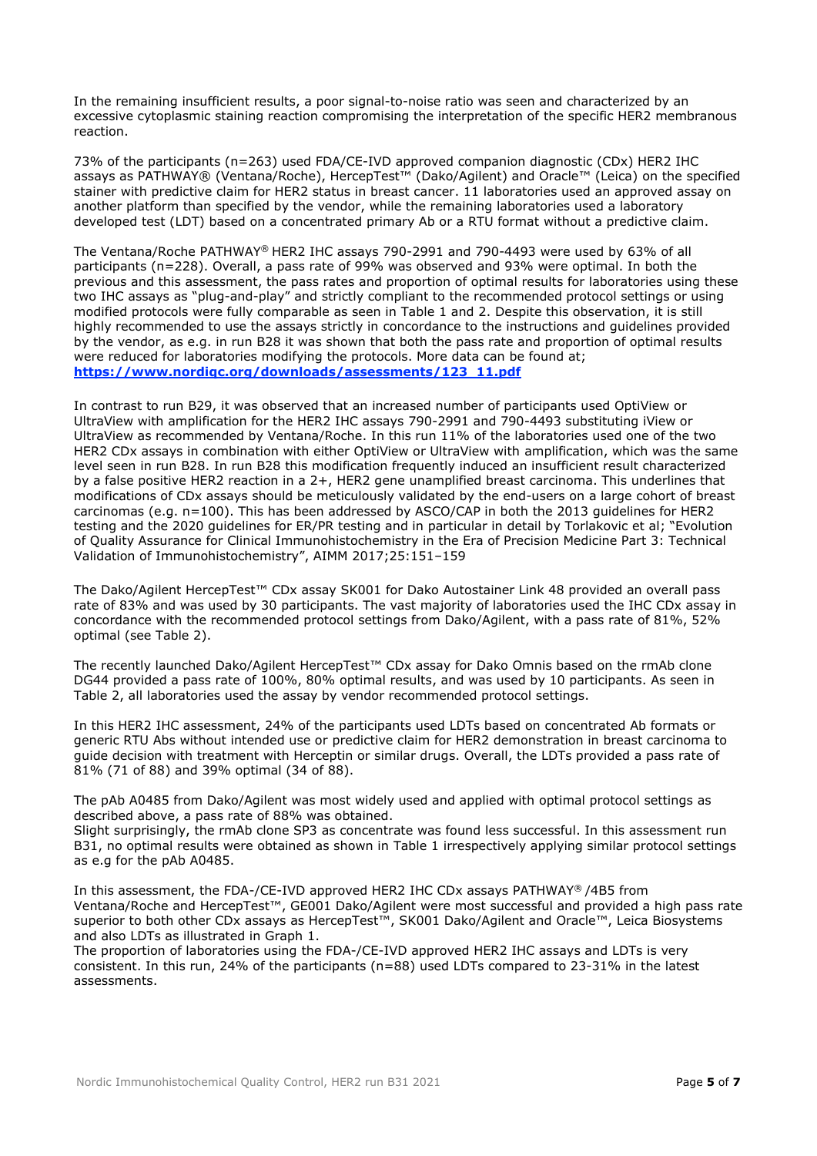In the remaining insufficient results, a poor signal-to-noise ratio was seen and characterized by an excessive cytoplasmic staining reaction compromising the interpretation of the specific HER2 membranous reaction.

73% of the participants (n=263) used FDA/CE-IVD approved companion diagnostic (CDx) HER2 IHC assays as PATHWAY® (Ventana/Roche), HercepTest™ (Dako/Agilent) and Oracle™ (Leica) on the specified stainer with predictive claim for HER2 status in breast cancer. 11 laboratories used an approved assay on another platform than specified by the vendor, while the remaining laboratories used a laboratory developed test (LDT) based on a concentrated primary Ab or a RTU format without a predictive claim.

The Ventana/Roche PATHWAY® HER2 IHC assays 790-2991 and 790-4493 were used by 63% of all participants (n=228). Overall, a pass rate of 99% was observed and 93% were optimal. In both the previous and this assessment, the pass rates and proportion of optimal results for laboratories using these two IHC assays as "plug-and-play" and strictly compliant to the recommended protocol settings or using modified protocols were fully comparable as seen in Table 1 and 2. Despite this observation, it is still highly recommended to use the assays strictly in concordance to the instructions and guidelines provided by the vendor, as e.g. in run B28 it was shown that both the pass rate and proportion of optimal results were reduced for laboratories modifying the protocols. More data can be found at; **[https://www.nordiqc.org/downloads/assessments/123\\_11.pdf](https://www.nordiqc.org/downloads/assessments/123_11.pdf)**

In contrast to run B29, it was observed that an increased number of participants used OptiView or UltraView with amplification for the HER2 IHC assays 790-2991 and 790-4493 substituting iView or UltraView as recommended by Ventana/Roche. In this run 11% of the laboratories used one of the two HER2 CDx assays in combination with either OptiView or UltraView with amplification, which was the same level seen in run B28. In run B28 this modification frequently induced an insufficient result characterized by a false positive HER2 reaction in a 2+, HER2 gene unamplified breast carcinoma. This underlines that modifications of CDx assays should be meticulously validated by the end-users on a large cohort of breast carcinomas (e.g. n=100). This has been addressed by ASCO/CAP in both the 2013 guidelines for HER2 testing and the 2020 guidelines for ER/PR testing and in particular in detail by Torlakovic et al; "Evolution of Quality Assurance for Clinical Immunohistochemistry in the Era of Precision Medicine Part 3: Technical Validation of Immunohistochemistry", AIMM 2017;25:151–159

The Dako/Agilent HercepTest™ CDx assay SK001 for Dako Autostainer Link 48 provided an overall pass rate of 83% and was used by 30 participants. The vast majority of laboratories used the IHC CDx assay in concordance with the recommended protocol settings from Dako/Agilent, with a pass rate of 81%, 52% optimal (see Table 2).

The recently launched Dako/Agilent HercepTest™ CDx assay for Dako Omnis based on the rmAb clone DG44 provided a pass rate of 100%, 80% optimal results, and was used by 10 participants. As seen in Table 2, all laboratories used the assay by vendor recommended protocol settings.

In this HER2 IHC assessment, 24% of the participants used LDTs based on concentrated Ab formats or generic RTU Abs without intended use or predictive claim for HER2 demonstration in breast carcinoma to guide decision with treatment with Herceptin or similar drugs. Overall, the LDTs provided a pass rate of 81% (71 of 88) and 39% optimal (34 of 88).

The pAb A0485 from Dako/Agilent was most widely used and applied with optimal protocol settings as described above, a pass rate of 88% was obtained.

Slight surprisingly, the rmAb clone SP3 as concentrate was found less successful. In this assessment run B31, no optimal results were obtained as shown in Table 1 irrespectively applying similar protocol settings as e.g for the pAb A0485.

In this assessment, the FDA-/CE-IVD approved HER2 IHC CDx assays PATHWAY® /4B5 from Ventana/Roche and HercepTest™, GE001 Dako/Agilent were most successful and provided a high pass rate superior to both other CDx assays as HercepTest™, SK001 Dako/Agilent and Oracle™, Leica Biosystems and also LDTs as illustrated in Graph 1.

The proportion of laboratories using the FDA-/CE-IVD approved HER2 IHC assays and LDTs is very consistent. In this run, 24% of the participants (n=88) used LDTs compared to 23-31% in the latest assessments.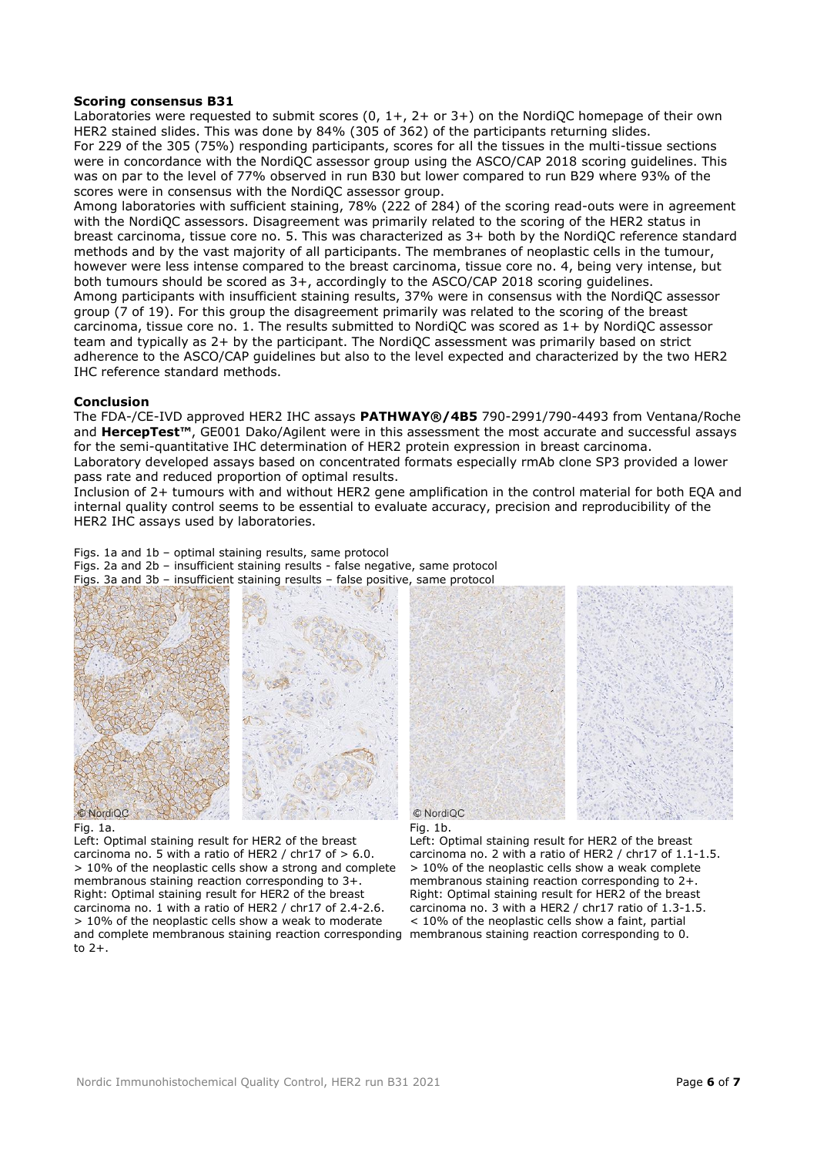#### **Scoring consensus B31**

Laboratories were requested to submit scores (0, 1+, 2+ or 3+) on the NordiQC homepage of their own HER2 stained slides. This was done by 84% (305 of 362) of the participants returning slides. For 229 of the 305 (75%) responding participants, scores for all the tissues in the multi-tissue sections were in concordance with the NordiQC assessor group using the ASCO/CAP 2018 scoring guidelines. This was on par to the level of 77% observed in run B30 but lower compared to run B29 where 93% of the scores were in consensus with the NordiQC assessor group.

Among laboratories with sufficient staining, 78% (222 of 284) of the scoring read-outs were in agreement with the NordiQC assessors. Disagreement was primarily related to the scoring of the HER2 status in breast carcinoma, tissue core no. 5. This was characterized as 3+ both by the NordiQC reference standard methods and by the vast majority of all participants. The membranes of neoplastic cells in the tumour, however were less intense compared to the breast carcinoma, tissue core no. 4, being very intense, but both tumours should be scored as 3+, accordingly to the ASCO/CAP 2018 scoring guidelines. Among participants with insufficient staining results, 37% were in consensus with the NordiQC assessor group (7 of 19). For this group the disagreement primarily was related to the scoring of the breast carcinoma, tissue core no. 1. The results submitted to NordiQC was scored as 1+ by NordiQC assessor team and typically as 2+ by the participant. The NordiQC assessment was primarily based on strict adherence to the ASCO/CAP guidelines but also to the level expected and characterized by the two HER2 IHC reference standard methods.

#### **Conclusion**

The FDA-/CE-IVD approved HER2 IHC assays **PATHWAY®/4B5** 790-2991/790-4493 from Ventana/Roche and **HercepTest™**, GE001 Dako/Agilent were in this assessment the most accurate and successful assays for the semi-quantitative IHC determination of HER2 protein expression in breast carcinoma. Laboratory developed assays based on concentrated formats especially rmAb clone SP3 provided a lower pass rate and reduced proportion of optimal results.

Inclusion of 2+ tumours with and without HER2 gene amplification in the control material for both EQA and internal quality control seems to be essential to evaluate accuracy, precision and reproducibility of the HER2 IHC assays used by laboratories.

Figs. 1a and 1b – optimal staining results, same protocol

Figs. 2a and 2b – insufficient staining results - false negative, same protocol

Figs. 3a and 3b – insufficient staining results – false positive, same protocol



#### Fig. 1a.

Left: Optimal staining result for HER2 of the breast carcinoma no. 5 with a ratio of HER2 / chr17 of  $> 6.0$ . > 10% of the neoplastic cells show a strong and complete membranous staining reaction corresponding to 3+. Right: Optimal staining result for HER2 of the breast carcinoma no. 1 with a ratio of HER2 / chr17 of 2.4-2.6. > 10% of the neoplastic cells show a weak to moderate and complete membranous staining reaction corresponding membranous staining reaction corresponding to 0. to 2+.



#### Fig. 1b.

Left: Optimal staining result for HER2 of the breast carcinoma no. 2 with a ratio of HER2 / chr17 of 1.1-1.5.  $> 10\%$  of the neoplastic cells show a weak complete membranous staining reaction corresponding to 2+. Right: Optimal staining result for HER2 of the breast carcinoma no. 3 with a HER2 / chr17 ratio of 1.3-1.5. < 10% of the neoplastic cells show a faint, partial